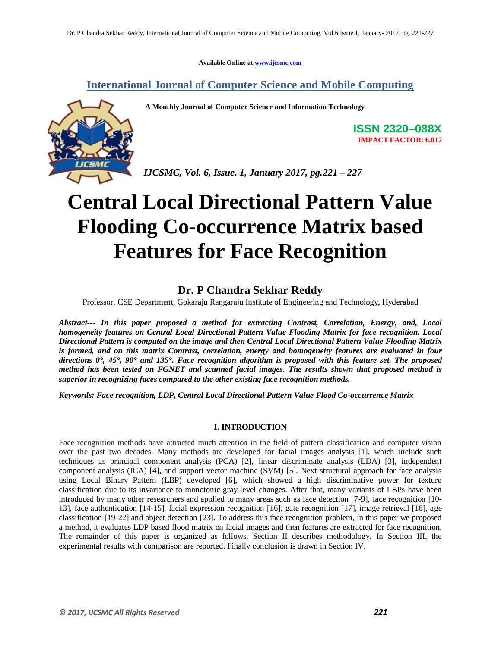**Available Online at www.ijcsmc.com**

**International Journal of Computer Science and Mobile Computing**

 **A Monthly Journal of Computer Science and Information Technology**



**ISSN 2320–088X IMPACT FACTOR: 6.017**

*IJCSMC, Vol. 6, Issue. 1, January 2017, pg.221 – 227*

# **Central Local Directional Pattern Value Flooding Co-occurrence Matrix based Features for Face Recognition**

## **Dr. P Chandra Sekhar Reddy**

Professor, CSE Department, Gokaraju Rangaraju Institute of Engineering and Technology, Hyderabad

*Abstract--- In this paper proposed a method for extracting Contrast, Correlation, Energy, and, Local homogeneity features on Central Local Directional Pattern Value Flooding Matrix for face recognition. Local Directional Pattern is computed on the image and then Central Local Directional Pattern Value Flooding Matrix is formed, and on this matrix Contrast, correlation, energy and homogeneity features are evaluated in four directions 0°, 45°, 90° and 135°. Face recognition algorithm is proposed with this feature set. The proposed method has been tested on FGNET and scanned facial images. The results shown that proposed method is superior in recognizing faces compared to the other existing face recognition methods.*

*Keywords: Face recognition, LDP, Central Local Directional Pattern Value Flood Co-occurrence Matrix*

#### **I. INTRODUCTION**

Face recognition methods have attracted much attention in the field of pattern classification and computer vision over the past two decades. Many methods are developed for facial images analysis [1], which include such techniques as principal component analysis (PCA) [2], linear discriminate analysis (LDA) [3], independent component analysis (ICA) [4], and support vector machine (SVM) [5]. Next structural approach for face analysis using Local Binary Pattern (LBP) developed [6], which showed a high discriminative power for texture classification due to its invariance to monotonic gray level changes. After that, many variants of LBPs have been introduced by many other researchers and applied to many areas such as face detection [7-9], face recognition [10- 13], face authentication [14-15], facial expression recognition [16], gate recognition [17], image retrieval [18], age classification [19-22] and object detection [23]. To address this face recognition problem, in this paper we proposed a method, it evaluates LDP based flood matrix on facial images and then features are extracted for face recognition. The remainder of this paper is organized as follows. Section II describes methodology. In Section III, the experimental results with comparison are reported. Finally conclusion is drawn in Section IV.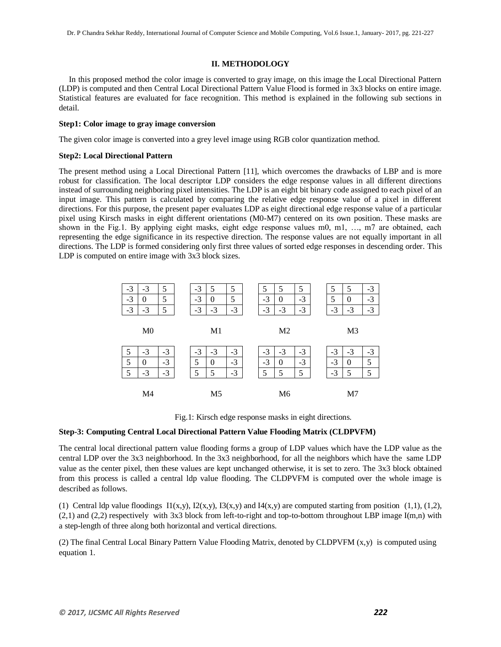#### **II. METHODOLOGY**

 In this proposed method the color image is converted to gray image, on this image the Local Directional Pattern (LDP) is computed and then Central Local Directional Pattern Value Flood is formed in 3x3 blocks on entire image. Statistical features are evaluated for face recognition. This method is explained in the following sub sections in detail.

#### **Step1: Color image to gray image conversion**

The given color image is converted into a grey level image using RGB color quantization method.

#### **Step2: Local Directional Pattern**

The present method using a Local Directional Pattern [11], which overcomes the drawbacks of LBP and is more robust for classification. The local descriptor LDP considers the edge response values in all different directions instead of surrounding neighboring pixel intensities. The LDP is an eight bit binary code assigned to each pixel of an input image. This pattern is calculated by comparing the relative edge response value of a pixel in different directions. For this purpose, the present paper evaluates LDP as eight directional edge response value of a particular pixel using Kirsch masks in eight different orientations (M0-M7) centered on its own position. These masks are shown in the Fig.1. By applying eight masks, eight edge response values m0, m1, ..., m7 are obtained, each representing the edge significance in its respective direction. The response values are not equally important in all directions. The LDP is formed considering only first three values of sorted edge responses in descending order. This LDP is computed on entire image with 3x3 block sizes.



Fig.1: Kirsch edge response masks in eight directions.

#### **Step-3: Computing Central Local Directional Pattern Value Flooding Matrix (CLDPVFM)**

The central local directional pattern value flooding forms a group of LDP values which have the LDP value as the central LDP over the 3x3 neighborhood. In the 3x3 neighborhood, for all the neighbors which have the same LDP value as the center pixel, then these values are kept unchanged otherwise, it is set to zero. The 3x3 block obtained from this process is called a central ldp value flooding. The CLDPVFM is computed over the whole image is described as follows.

(1) Central ldp value floodings  $I1(x,y)$ ,  $I2(x,y)$ ,  $I3(x,y)$  and  $I4(x,y)$  are computed starting from position (1,1), (1,2),  $(2,1)$  and  $(2,2)$  respectively with 3x3 block from left-to-right and top-to-bottom throughout LBP image I(m,n) with a step-length of three along both horizontal and vertical directions.

(2) The final Central Local Binary Pattern Value Flooding Matrix, denoted by CLDPVFM (x,y) is computed using equation 1.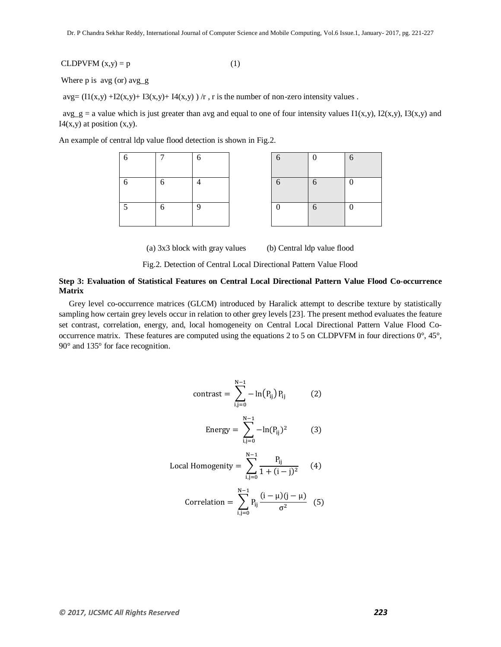CLDPVFM  $(x,y) = p$  (1)

Where 
$$
p
$$
 is  $avg$  (or)  $avg_g$ 

 $avg=(11(x,y) +12(x,y) + 13(x,y) + 14(x,y)) /r$ , r is the number of non-zero intensity values.

 $\arg\_g =$  a value which is just greater than avg and equal to one of four intensity values I1(x,y), I2(x,y), I3(x,y) and  $I4(x,y)$  at position  $(x,y)$ .

An example of central ldp value flood detection is shown in Fig.2.

| 6      |   | 6 | 6 | $\boldsymbol{0}$ | 6                |
|--------|---|---|---|------------------|------------------|
| 6      | 6 |   | 6 | 6                | $\boldsymbol{0}$ |
| $\sim$ | 6 | 9 |   | 6                | $\boldsymbol{0}$ |

| 6                | $\theta$   | 6                |
|------------------|------------|------------------|
| $\sqrt{6}$       | $\sqrt{6}$ | $\boldsymbol{0}$ |
| $\boldsymbol{0}$ | $\sqrt{6}$ | $\boldsymbol{0}$ |

(a) 3x3 block with gray values (b) Central ldp value flood

Fig.2. Detection of Central Local Directional Pattern Value Flood

#### **Step 3: Evaluation of Statistical Features on Central Local Directional Pattern Value Flood Co-occurrence Matrix**

 Grey level co-occurrence matrices (GLCM) introduced by Haralick attempt to describe texture by statistically sampling how certain grey levels occur in relation to other grey levels [23]. The present method evaluates the feature set contrast, correlation, energy, and, local homogeneity on Central Local Directional Pattern Value Flood Cooccurrence matrix. These features are computed using the equations 2 to 5 on CLDPVFM in four directions 0°, 45°, 90° and 135° for face recognition.

$$
contrast = \sum_{i,j=0}^{N-1} -\ln(P_{ij}) P_{ij}
$$
 (2)  
\nEnergy =  $\sum_{i,j=0}^{N-1} -\ln(P_{ij})^2$  (3)  
\nLocal Homogenity =  $\sum_{i,j=0}^{N-1} \frac{P_{ij}}{1 + (i - j)^2}$  (4)  
\nCorrelation =  $\sum_{i,j=0}^{N-1} P_{ij} \frac{(i - μ)(j - μ)}{\sigma^2}$  (5)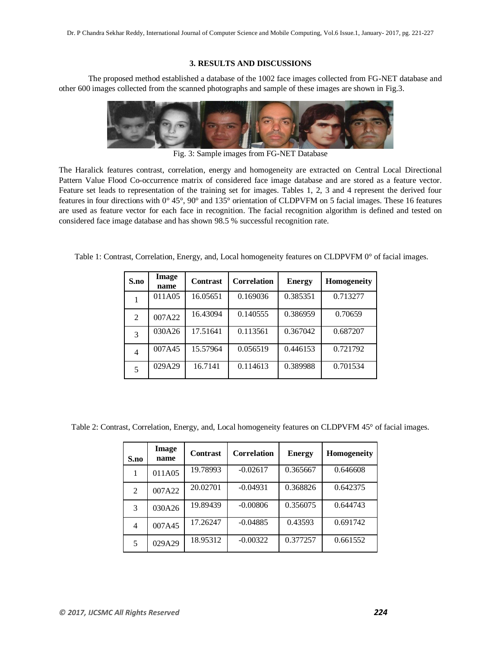#### **3. RESULTS AND DISCUSSIONS**

The proposed method established a database of the 1002 face images collected from FG-NET database and other 600 images collected from the scanned photographs and sample of these images are shown in Fig.3.



Fig. 3: Sample images from FG-NET Database

The Haralick features contrast, correlation, energy and homogeneity are extracted on Central Local Directional Pattern Value Flood Co-occurrence matrix of considered face image database and are stored as a feature vector. Feature set leads to representation of the training set for images. Tables 1, 2, 3 and 4 represent the derived four features in four directions with 0° 45°, 90° and 135° orientation of CLDPVFM on 5 facial images. These 16 features are used as feature vector for each face in recognition. The facial recognition algorithm is defined and tested on considered face image database and has shown 98.5 % successful recognition rate.

Table 1: Contrast, Correlation, Energy, and, Local homogeneity features on CLDPVFM 0° of facial images.

| S.no           | Image<br>name | <b>Contrast</b> | <b>Correlation</b> | <b>Energy</b> | <b>Homogeneity</b> |
|----------------|---------------|-----------------|--------------------|---------------|--------------------|
|                | 011A05        | 16.05651        | 0.169036           | 0.385351      | 0.713277           |
| $\mathfrak{D}$ | 007A22        | 16.43094        | 0.140555           | 0.386959      | 0.70659            |
| 3              | 030A26        | 17.51641        | 0.113561           | 0.367042      | 0.687207           |
| 4              | 007A45        | 15.57964        | 0.056519           | 0.446153      | 0.721792           |
| 5              | 029A29        | 16.7141         | 0.114613           | 0.389988      | 0.701534           |

Table 2: Contrast, Correlation, Energy, and, Local homogeneity features on CLDPVFM 45° of facial images.

| S.no | <b>Image</b><br>name | <b>Contrast</b> | <b>Correlation</b> | <b>Energy</b> | <b>Homogeneity</b> |
|------|----------------------|-----------------|--------------------|---------------|--------------------|
| 1    | 011A05               | 19.78993        | $-0.02617$         | 0.365667      | 0.646608           |
| 2    | 007A22               | 20.02701        | $-0.04931$         | 0.368826      | 0.642375           |
| 3    | 030A26               | 19.89439        | $-0.00806$         | 0.356075      | 0.644743           |
| 4    | 007A45               | 17.26247        | $-0.04885$         | 0.43593       | 0.691742           |
| 5    | 029A29               | 18.95312        | $-0.00322$         | 0.377257      | 0.661552           |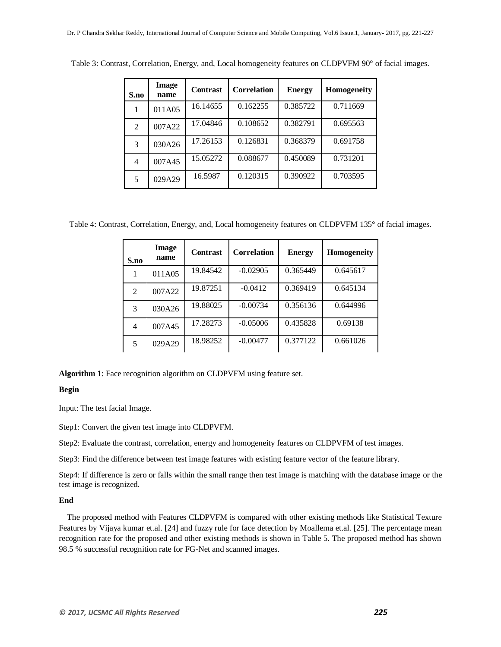| S.no           | Image<br>name | <b>Contrast</b> | <b>Correlation</b> | <b>Energy</b> | <b>Homogeneity</b> |
|----------------|---------------|-----------------|--------------------|---------------|--------------------|
|                | 011A05        | 16.14655        | 0.162255           | 0.385722      | 0.711669           |
| $\mathfrak{D}$ | 007A22        | 17.04846        | 0.108652           | 0.382791      | 0.695563           |
| 3              | 030A26        | 17.26153        | 0.126831           | 0.368379      | 0.691758           |
| 4              | 007A45        | 15.05272        | 0.088677           | 0.450089      | 0.731201           |
| 5              | 029A29        | 16.5987         | 0.120315           | 0.390922      | 0.703595           |

Table 3: Contrast, Correlation, Energy, and, Local homogeneity features on CLDPVFM 90° of facial images.

Table 4: Contrast, Correlation, Energy, and, Local homogeneity features on CLDPVFM 135° of facial images.

| S.no           | Image<br>name | <b>Contrast</b> | <b>Correlation</b> | <b>Energy</b> | <b>Homogeneity</b> |
|----------------|---------------|-----------------|--------------------|---------------|--------------------|
| 1              | 011A05        | 19.84542        | $-0.02905$         | 0.365449      | 0.645617           |
| $\overline{2}$ | 007A22        | 19.87251        | $-0.0412$          | 0.369419      | 0.645134           |
| 3              | 030A26        | 19.88025        | $-0.00734$         | 0.356136      | 0.644996           |
| 4              | 007A45        | 17.28273        | $-0.05006$         | 0.435828      | 0.69138            |
| 5              | 029A29        | 18.98252        | $-0.00477$         | 0.377122      | 0.661026           |

**Algorithm 1**: Face recognition algorithm on CLDPVFM using feature set.

#### **Begin**

Input: The test facial Image.

Step1: Convert the given test image into CLDPVFM.

Step2: Evaluate the contrast, correlation, energy and homogeneity features on CLDPVFM of test images.

Step3: Find the difference between test image features with existing feature vector of the feature library.

Step4: If difference is zero or falls within the small range then test image is matching with the database image or the test image is recognized.

#### **End**

 The proposed method with Features CLDPVFM is compared with other existing methods like Statistical Texture Features by Vijaya kumar et.al. [24] and fuzzy rule for face detection by Moallema et.al. [25]. The percentage mean recognition rate for the proposed and other existing methods is shown in Table 5. The proposed method has shown 98.5 % successful recognition rate for FG-Net and scanned images.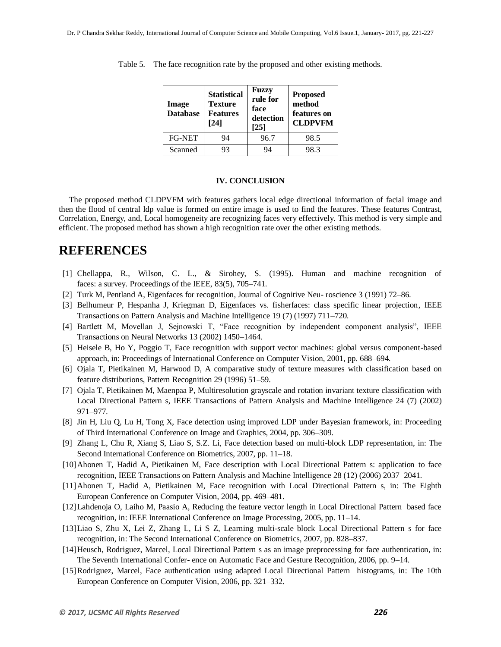| Image<br><b>Database</b> | <b>Statistical</b><br><b>Texture</b><br><b>Features</b><br>[24] | Fuzzy<br>rule for<br>face<br>detection<br>[25] | <b>Proposed</b><br>method<br>features on<br><b>CLDPVFM</b> |  |
|--------------------------|-----------------------------------------------------------------|------------------------------------------------|------------------------------------------------------------|--|
| <b>FG-NET</b>            | 94                                                              | 96.7                                           | 98.5                                                       |  |
| Scanned                  | 93                                                              | 94                                             | 98.3                                                       |  |

Table 5. The face recognition rate by the proposed and other existing methods.

#### **IV. CONCLUSION**

 The proposed method CLDPVFM with features gathers local edge directional information of facial image and then the flood of central ldp value is formed on entire image is used to find the features. These features Contrast, Correlation, Energy, and, Local homogeneity are recognizing faces very effectively. This method is very simple and efficient. The proposed method has shown a high recognition rate over the other existing methods.

## **REFERENCES**

- [1] Chellappa, R., Wilson, C. L., & Sirohey, S. (1995). Human and machine recognition of faces: a survey. Proceedings of the IEEE, 83(5), 705–741.
- [2] Turk M, Pentland A, Eigenfaces for recognition, Journal of Cognitive Neu- roscience 3 (1991) 72–86.
- [3] Belhumeur P, Hespanha J, Kriegman D, Eigenfaces vs. fisherfaces: class specific linear projection, IEEE Transactions on Pattern Analysis and Machine Intelligence 19 (7) (1997) 711–720.
- [4] Bartlett M, Movellan J, Sejnowski T, "Face recognition by independent component analysis", IEEE Transactions on Neural Networks 13 (2002) 1450–1464.
- [5] Heisele B, Ho Y, Poggio T, Face recognition with support vector machines: global versus component-based approach, in: Proceedings of International Conference on Computer Vision, 2001, pp. 688–694.
- [6] Ojala T, Pietikainen M, Harwood D, A comparative study of texture measures with classification based on feature distributions, Pattern Recognition 29 (1996) 51–59.
- [7] Ojala T, Pietikainen M, Maenpaa P, Multiresolution grayscale and rotation invariant texture classification with Local Directional Pattern s, IEEE Transactions of Pattern Analysis and Machine Intelligence 24 (7) (2002) 971–977.
- [8] Jin H, Liu Q, Lu H, Tong X, Face detection using improved LDP under Bayesian framework, in: Proceeding of Third International Conference on Image and Graphics, 2004, pp. 306–309.
- [9] Zhang L, Chu R, Xiang S, Liao S, S.Z. Li, Face detection based on multi-block LDP representation, in: The Second International Conference on Biometrics, 2007, pp. 11–18.
- [10]Ahonen T, Hadid A, Pietikainen M, Face description with Local Directional Pattern s: application to face recognition, IEEE Transactions on Pattern Analysis and Machine Intelligence 28 (12) (2006) 2037–2041.
- [11]Ahonen T, Hadid A, Pietikainen M, Face recognition with Local Directional Pattern s, in: The Eighth European Conference on Computer Vision, 2004, pp. 469–481.
- [12]Lahdenoja O, Laiho M, Paasio A, Reducing the feature vector length in Local Directional Pattern based face recognition, in: IEEE International Conference on Image Processing, 2005, pp. 11–14.
- [13]Liao S, Zhu X, Lei Z, Zhang L, Li S Z, Learning multi-scale block Local Directional Pattern s for face recognition, in: The Second International Conference on Biometrics, 2007, pp. 828–837.
- [14]Heusch, Rodriguez, Marcel, Local Directional Pattern s as an image preprocessing for face authentication, in: The Seventh International Confer- ence on Automatic Face and Gesture Recognition, 2006, pp. 9–14.
- [15]Rodriguez, Marcel, Face authentication using adapted Local Directional Pattern histograms, in: The 10th European Conference on Computer Vision, 2006, pp. 321–332.